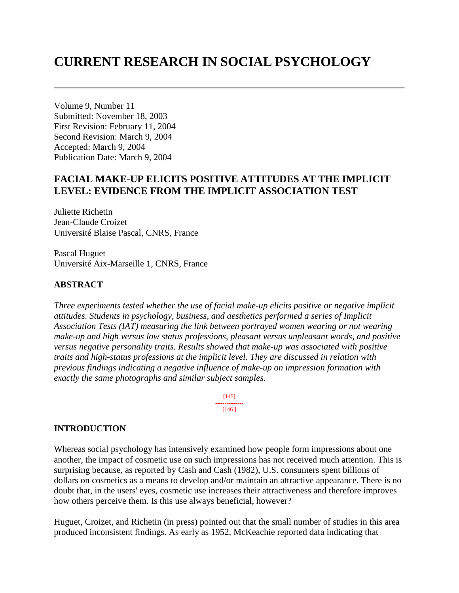# **CURRENT RESEARCH IN SOCIAL PSYCHOLOGY**

Volume 9, Number 11 Submitted: November 18, 2003 First Revision: February 11, 2004 Second Revision: March 9, 2004 Accepted: March 9, 2004 Publication Date: March 9, 2004

# **FACIAL MAKE-UP ELICITS POSITIVE ATTITUDES AT THE IMPLICIT LEVEL: EVIDENCE FROM THE IMPLICIT ASSOCIATION TEST**

Juliette Richetin Jean-Claude Croizet Université Blaise Pascal, CNRS, France

Pascal Huguet Université Aix-Marseille 1, CNRS, France

#### **ABSTRACT**

*Three experiments tested whether the use of facial make-up elicits positive or negative implicit attitudes. Students in psychology, business, and aesthetics performed a series of Implicit Association Tests (IAT) measuring the link between portrayed women wearing or not wearing make-up and high versus low status professions, pleasant versus unpleasant words, and positive versus negative personality traits. Results showed that make-up was associated with positive traits and high-status professions at the implicit level. They are discussed in relation with previous findings indicating a negative influence of make-up on impression formation with exactly the same photographs and similar subject samples.* 

> [145] --------------- [146 ]

#### **INTRODUCTION**

Whereas social psychology has intensively examined how people form impressions about one another, the impact of cosmetic use on such impressions has not received much attention. This is surprising because, as reported by Cash and Cash (1982), U.S. consumers spent billions of dollars on cosmetics as a means to develop and/or maintain an attractive appearance. There is no doubt that, in the users' eyes, cosmetic use increases their attractiveness and therefore improves how others perceive them. Is this use always beneficial, however?

Huguet, Croizet, and Richetin (in press) pointed out that the small number of studies in this area produced inconsistent findings. As early as 1952, McKeachie reported data indicating that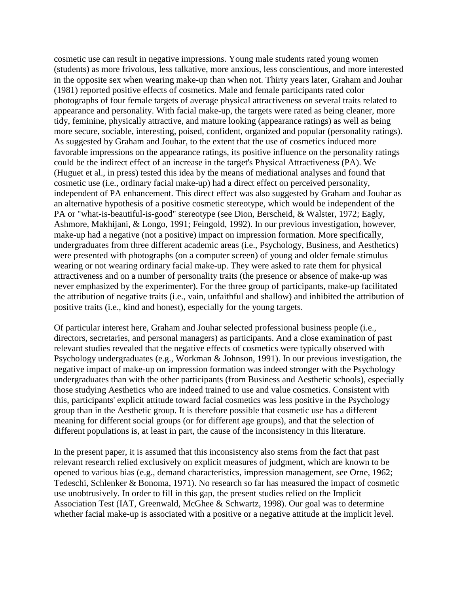cosmetic use can result in negative impressions. Young male students rated young women (students) as more frivolous, less talkative, more anxious, less conscientious, and more interested in the opposite sex when wearing make-up than when not. Thirty years later, Graham and Jouhar (1981) reported positive effects of cosmetics. Male and female participants rated color photographs of four female targets of average physical attractiveness on several traits related to appearance and personality. With facial make-up, the targets were rated as being cleaner, more tidy, feminine, physically attractive, and mature looking (appearance ratings) as well as being more secure, sociable, interesting, poised, confident, organized and popular (personality ratings). As suggested by Graham and Jouhar, to the extent that the use of cosmetics induced more favorable impressions on the appearance ratings, its positive influence on the personality ratings could be the indirect effect of an increase in the target's Physical Attractiveness (PA). We (Huguet et al., in press) tested this idea by the means of mediational analyses and found that cosmetic use (i.e., ordinary facial make-up) had a direct effect on perceived personality, independent of PA enhancement. This direct effect was also suggested by Graham and Jouhar as an alternative hypothesis of a positive cosmetic stereotype, which would be independent of the PA or "what-is-beautiful-is-good" stereotype (see Dion, Berscheid, & Walster, 1972; Eagly, Ashmore, Makhijani, & Longo, 1991; Feingold, 1992). In our previous investigation, however, make-up had a negative (not a positive) impact on impression formation. More specifically, undergraduates from three different academic areas (i.e., Psychology, Business, and Aesthetics) were presented with photographs (on a computer screen) of young and older female stimulus wearing or not wearing ordinary facial make-up. They were asked to rate them for physical attractiveness and on a number of personality traits (the presence or absence of make-up was never emphasized by the experimenter). For the three group of participants, make-up facilitated the attribution of negative traits (i.e., vain, unfaithful and shallow) and inhibited the attribution of positive traits (i.e., kind and honest), especially for the young targets.

Of particular interest here, Graham and Jouhar selected professional business people (i.e., directors, secretaries, and personal managers) as participants. And a close examination of past relevant studies revealed that the negative effects of cosmetics were typically observed with Psychology undergraduates (e.g., Workman & Johnson, 1991). In our previous investigation, the negative impact of make-up on impression formation was indeed stronger with the Psychology undergraduates than with the other participants (from Business and Aesthetic schools), especially those studying Aesthetics who are indeed trained to use and value cosmetics. Consistent with this, participants' explicit attitude toward facial cosmetics was less positive in the Psychology group than in the Aesthetic group. It is therefore possible that cosmetic use has a different meaning for different social groups (or for different age groups), and that the selection of different populations is, at least in part, the cause of the inconsistency in this literature.

In the present paper, it is assumed that this inconsistency also stems from the fact that past relevant research relied exclusively on explicit measures of judgment, which are known to be opened to various bias (e.g., demand characteristics, impression management, see Orne, 1962; Tedeschi, Schlenker & Bonoma, 1971). No research so far has measured the impact of cosmetic use unobtrusively. In order to fill in this gap, the present studies relied on the Implicit Association Test (IAT, Greenwald, McGhee & Schwartz, 1998). Our goal was to determine whether facial make-up is associated with a positive or a negative attitude at the implicit level.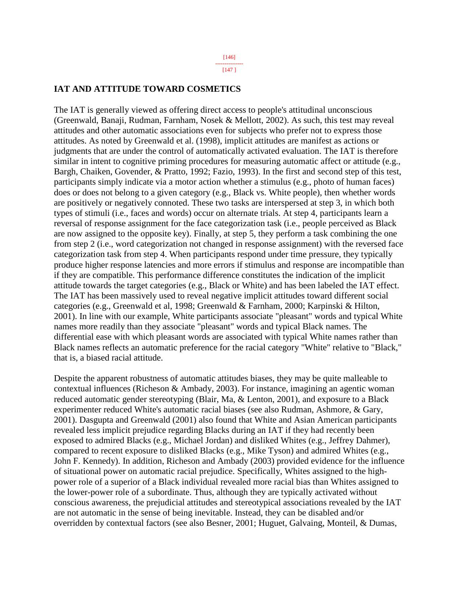[147 ]

#### **IAT AND ATTITUDE TOWARD COSMETICS**

The IAT is generally viewed as offering direct access to people's attitudinal unconscious (Greenwald, Banaji, Rudman, Farnham, Nosek & Mellott, 2002). As such, this test may reveal attitudes and other automatic associations even for subjects who prefer not to express those attitudes. As noted by Greenwald et al. (1998), implicit attitudes are manifest as actions or judgments that are under the control of automatically activated evaluation. The IAT is therefore similar in intent to cognitive priming procedures for measuring automatic affect or attitude (e.g., Bargh, Chaiken, Govender, & Pratto, 1992; Fazio, 1993). In the first and second step of this test, participants simply indicate via a motor action whether a stimulus (e.g., photo of human faces) does or does not belong to a given category (e.g., Black vs. White people), then whether words are positively or negatively connoted. These two tasks are interspersed at step 3, in which both types of stimuli (i.e., faces and words) occur on alternate trials. At step 4, participants learn a reversal of response assignment for the face categorization task (i.e., people perceived as Black are now assigned to the opposite key). Finally, at step 5, they perform a task combining the one from step 2 (i.e., word categorization not changed in response assignment) with the reversed face categorization task from step 4. When participants respond under time pressure, they typically produce higher response latencies and more errors if stimulus and response are incompatible than if they are compatible. This performance difference constitutes the indication of the implicit attitude towards the target categories (e.g., Black or White) and has been labeled the IAT effect. The IAT has been massively used to reveal negative implicit attitudes toward different social categories (e.g., Greenwald et al, 1998; Greenwald & Farnham, 2000; Karpinski & Hilton, 2001). In line with our example, White participants associate "pleasant" words and typical White names more readily than they associate "pleasant" words and typical Black names. The differential ease with which pleasant words are associated with typical White names rather than Black names reflects an automatic preference for the racial category "White" relative to "Black," that is, a biased racial attitude.

Despite the apparent robustness of automatic attitudes biases, they may be quite malleable to contextual influences (Richeson & Ambady, 2003). For instance, imagining an agentic woman reduced automatic gender stereotyping (Blair, Ma, & Lenton, 2001), and exposure to a Black experimenter reduced White's automatic racial biases (see also Rudman, Ashmore, & Gary, 2001). Dasgupta and Greenwald (2001) also found that White and Asian American participants revealed less implicit prejudice regarding Blacks during an IAT if they had recently been exposed to admired Blacks (e.g., Michael Jordan) and disliked Whites (e.g., Jeffrey Dahmer), compared to recent exposure to disliked Blacks (e.g., Mike Tyson) and admired Whites (e.g., John F. Kennedy). In addition, Richeson and Ambady (2003) provided evidence for the influence of situational power on automatic racial prejudice. Specifically, Whites assigned to the highpower role of a superior of a Black individual revealed more racial bias than Whites assigned to the lower-power role of a subordinate. Thus, although they are typically activated without conscious awareness, the prejudicial attitudes and stereotypical associations revealed by the IAT are not automatic in the sense of being inevitable. Instead, they can be disabled and/or overridden by contextual factors (see also Besner, 2001; Huguet, Galvaing, Monteil, & Dumas,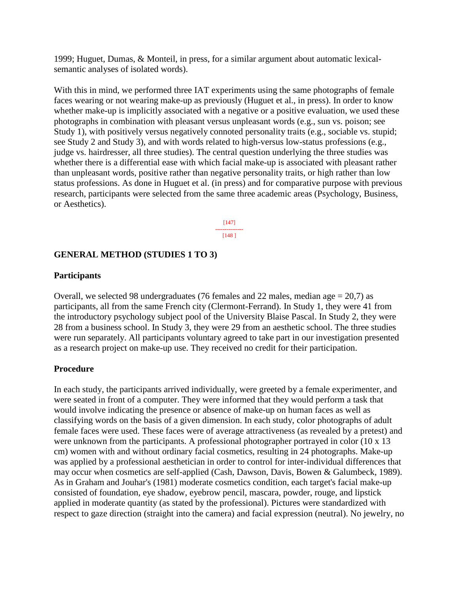1999; Huguet, Dumas, & Monteil, in press, for a similar argument about automatic lexicalsemantic analyses of isolated words).

With this in mind, we performed three IAT experiments using the same photographs of female faces wearing or not wearing make-up as previously (Huguet et al., in press). In order to know whether make-up is implicitly associated with a negative or a positive evaluation, we used these photographs in combination with pleasant versus unpleasant words (e.g., sun vs. poison; see Study 1), with positively versus negatively connoted personality traits (e.g., sociable vs. stupid; see Study 2 and Study 3), and with words related to high-versus low-status professions (e.g., judge vs. hairdresser, all three studies). The central question underlying the three studies was whether there is a differential ease with which facial make-up is associated with pleasant rather than unpleasant words, positive rather than negative personality traits, or high rather than low status professions. As done in Huguet et al. (in press) and for comparative purpose with previous research, participants were selected from the same three academic areas (Psychology, Business, or Aesthetics).

> [147] --------------- [148 ]

#### **GENERAL METHOD (STUDIES 1 TO 3)**

#### **Participants**

Overall, we selected 98 undergraduates (76 females and 22 males, median age  $= 20,7$ ) as participants, all from the same French city (Clermont-Ferrand). In Study 1, they were 41 from the introductory psychology subject pool of the University Blaise Pascal. In Study 2, they were 28 from a business school. In Study 3, they were 29 from an aesthetic school. The three studies were run separately. All participants voluntary agreed to take part in our investigation presented as a research project on make-up use. They received no credit for their participation.

#### **Procedure**

In each study, the participants arrived individually, were greeted by a female experimenter, and were seated in front of a computer. They were informed that they would perform a task that would involve indicating the presence or absence of make-up on human faces as well as classifying words on the basis of a given dimension. In each study, color photographs of adult female faces were used. These faces were of average attractiveness (as revealed by a pretest) and were unknown from the participants. A professional photographer portrayed in color (10 x 13) cm) women with and without ordinary facial cosmetics, resulting in 24 photographs. Make-up was applied by a professional aesthetician in order to control for inter-individual differences that may occur when cosmetics are self-applied (Cash, Dawson, Davis, Bowen & Galumbeck, 1989). As in Graham and Jouhar's (1981) moderate cosmetics condition, each target's facial make-up consisted of foundation, eye shadow, eyebrow pencil, mascara, powder, rouge, and lipstick applied in moderate quantity (as stated by the professional). Pictures were standardized with respect to gaze direction (straight into the camera) and facial expression (neutral). No jewelry, no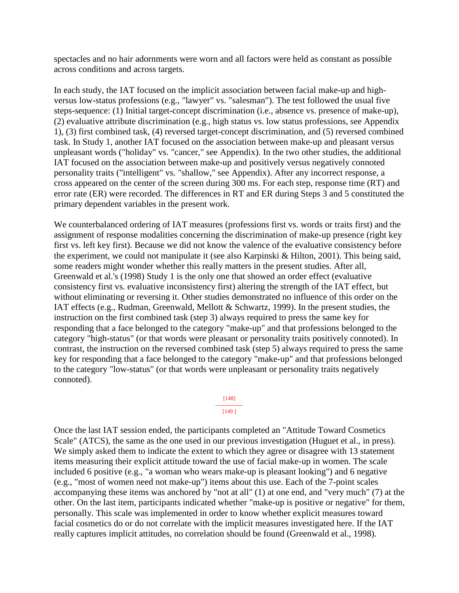spectacles and no hair adornments were worn and all factors were held as constant as possible across conditions and across targets.

In each study, the IAT focused on the implicit association between facial make-up and highversus low-status professions (e.g., "lawyer" vs. "salesman"). The test followed the usual five steps-sequence: (1) Initial target-concept discrimination (i.e., absence vs. presence of make-up), (2) evaluative attribute discrimination (e.g., high status vs. low status professions, see Appendix 1), (3) first combined task, (4) reversed target-concept discrimination, and (5) reversed combined task. In Study 1, another IAT focused on the association between make-up and pleasant versus unpleasant words ("holiday" vs. "cancer," see Appendix). In the two other studies, the additional IAT focused on the association between make-up and positively versus negatively connoted personality traits ("intelligent" vs. "shallow," see Appendix). After any incorrect response, a cross appeared on the center of the screen during 300 ms. For each step, response time (RT) and error rate (ER) were recorded. The differences in RT and ER during Steps 3 and 5 constituted the primary dependent variables in the present work.

We counterbalanced ordering of IAT measures (professions first vs. words or traits first) and the assignment of response modalities concerning the discrimination of make-up presence (right key first vs. left key first). Because we did not know the valence of the evaluative consistency before the experiment, we could not manipulate it (see also Karpinski & Hilton, 2001). This being said, some readers might wonder whether this really matters in the present studies. After all, Greenwald et al.'s (1998) Study 1 is the only one that showed an order effect (evaluative consistency first vs. evaluative inconsistency first) altering the strength of the IAT effect, but without eliminating or reversing it. Other studies demonstrated no influence of this order on the IAT effects (e.g., Rudman, Greenwald, Mellott & Schwartz, 1999). In the present studies, the instruction on the first combined task (step 3) always required to press the same key for responding that a face belonged to the category "make-up" and that professions belonged to the category "high-status" (or that words were pleasant or personality traits positively connoted). In contrast, the instruction on the reversed combined task (step 5) always required to press the same key for responding that a face belonged to the category "make-up" and that professions belonged to the category "low-status" (or that words were unpleasant or personality traits negatively connoted).

#### [148] --------------- [149 ]

Once the last IAT session ended, the participants completed an "Attitude Toward Cosmetics Scale" (ATCS), the same as the one used in our previous investigation (Huguet et al., in press). We simply asked them to indicate the extent to which they agree or disagree with 13 statement items measuring their explicit attitude toward the use of facial make-up in women. The scale included 6 positive (e.g., "a woman who wears make-up is pleasant looking") and 6 negative (e.g., "most of women need not make-up") items about this use. Each of the 7-point scales accompanying these items was anchored by "not at all" (1) at one end, and "very much" (7) at the other. On the last item, participants indicated whether "make-up is positive or negative" for them, personally. This scale was implemented in order to know whether explicit measures toward facial cosmetics do or do not correlate with the implicit measures investigated here. If the IAT really captures implicit attitudes, no correlation should be found (Greenwald et al., 1998).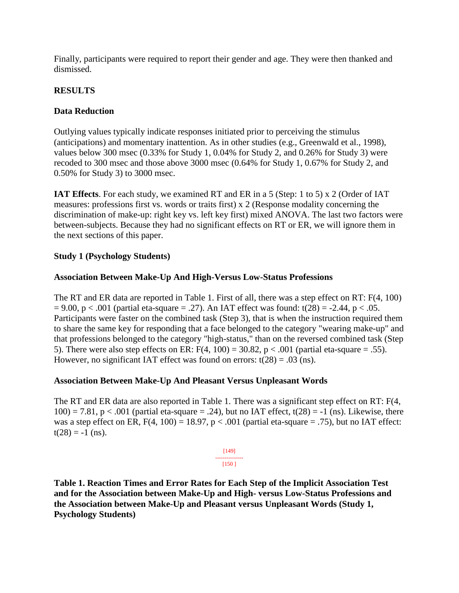Finally, participants were required to report their gender and age. They were then thanked and dismissed.

### **RESULTS**

### **Data Reduction**

Outlying values typically indicate responses initiated prior to perceiving the stimulus (anticipations) and momentary inattention. As in other studies (e.g., Greenwald et al., 1998), values below 300 msec (0.33% for Study 1, 0.04% for Study 2, and 0.26% for Study 3) were recoded to 300 msec and those above 3000 msec (0.64% for Study 1, 0.67% for Study 2, and 0.50% for Study 3) to 3000 msec.

**IAT Effects**. For each study, we examined RT and ER in a 5 (Step: 1 to 5) x 2 (Order of IAT measures: professions first vs. words or traits first) x 2 (Response modality concerning the discrimination of make-up: right key vs. left key first) mixed ANOVA. The last two factors were between-subjects. Because they had no significant effects on RT or ER, we will ignore them in the next sections of this paper.

### **Study 1 (Psychology Students)**

### **Association Between Make-Up And High-Versus Low-Status Professions**

The RT and ER data are reported in Table 1. First of all, there was a step effect on RT: F(4, 100)  $= 9.00$ , p < .001 (partial eta-square = .27). An IAT effect was found: t(28) = -2.44, p < .05. Participants were faster on the combined task (Step 3), that is when the instruction required them to share the same key for responding that a face belonged to the category "wearing make-up" and that professions belonged to the category "high-status," than on the reversed combined task (Step 5). There were also step effects on ER:  $F(4, 100) = 30.82$ ,  $p < .001$  (partial eta-square = .55). However, no significant IAT effect was found on errors:  $t(28) = .03$  (ns).

### **Association Between Make-Up And Pleasant Versus Unpleasant Words**

The RT and ER data are also reported in Table 1. There was a significant step effect on RT: F(4,  $100$ ) = 7.81, p < .001 (partial eta-square = .24), but no IAT effect, t(28) = -1 (ns). Likewise, there was a step effect on ER,  $F(4, 100) = 18.97$ ,  $p < .001$  (partial eta-square = .75), but no IAT effect:  $t(28) = -1$  (ns).

> [149] --------------- [150 ]

**Table 1. Reaction Times and Error Rates for Each Step of the Implicit Association Test and for the Association between Make-Up and High- versus Low-Status Professions and the Association between Make-Up and Pleasant versus Unpleasant Words (Study 1, Psychology Students)**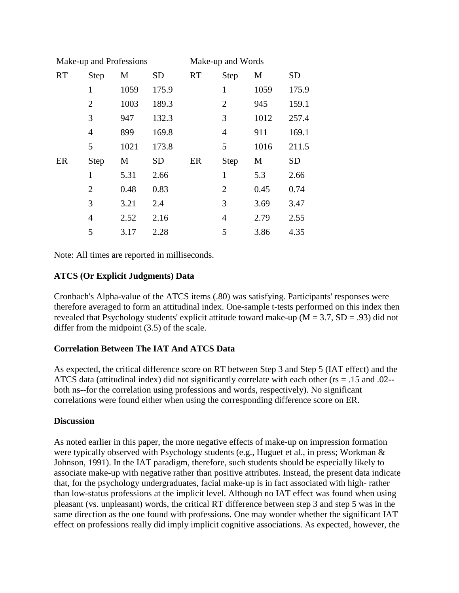|           | Make-up and Professions |      |           | Make-up and Words |                |      |           |
|-----------|-------------------------|------|-----------|-------------------|----------------|------|-----------|
| <b>RT</b> | <b>Step</b>             | M    | <b>SD</b> | <b>RT</b>         | Step           | M    | <b>SD</b> |
|           | 1                       | 1059 | 175.9     |                   | $\mathbf{1}$   | 1059 | 175.9     |
|           | $\overline{2}$          | 1003 | 189.3     |                   | $\overline{2}$ | 945  | 159.1     |
|           | 3                       | 947  | 132.3     |                   | 3              | 1012 | 257.4     |
|           | $\overline{4}$          | 899  | 169.8     |                   | $\overline{4}$ | 911  | 169.1     |
|           | 5                       | 1021 | 173.8     |                   | 5              | 1016 | 211.5     |
| ER        | <b>Step</b>             | M    | <b>SD</b> | ER                | <b>Step</b>    | M    | SD        |
|           | 1                       | 5.31 | 2.66      |                   | $\mathbf{1}$   | 5.3  | 2.66      |
|           | $\overline{2}$          | 0.48 | 0.83      |                   | $\overline{2}$ | 0.45 | 0.74      |
|           | 3                       | 3.21 | 2.4       |                   | 3              | 3.69 | 3.47      |
|           | $\overline{4}$          | 2.52 | 2.16      |                   | $\overline{4}$ | 2.79 | 2.55      |
|           | 5                       | 3.17 | 2.28      |                   | 5              | 3.86 | 4.35      |

Note: All times are reported in milliseconds.

## **ATCS (Or Explicit Judgments) Data**

Cronbach's Alpha-value of the ATCS items (.80) was satisfying. Participants' responses were therefore averaged to form an attitudinal index. One-sample t-tests performed on this index then revealed that Psychology students' explicit attitude toward make-up ( $M = 3.7$ ,  $SD = .93$ ) did not differ from the midpoint (3.5) of the scale.

### **Correlation Between The IAT And ATCS Data**

As expected, the critical difference score on RT between Step 3 and Step 5 (IAT effect) and the ATCS data (attitudinal index) did not significantly correlate with each other ( $rs = .15$  and .02-both ns--for the correlation using professions and words, respectively). No significant correlations were found either when using the corresponding difference score on ER.

### **Discussion**

As noted earlier in this paper, the more negative effects of make-up on impression formation were typically observed with Psychology students (e.g., Huguet et al., in press; Workman & Johnson, 1991). In the IAT paradigm, therefore, such students should be especially likely to associate make-up with negative rather than positive attributes. Instead, the present data indicate that, for the psychology undergraduates, facial make-up is in fact associated with high- rather than low-status professions at the implicit level. Although no IAT effect was found when using pleasant (vs. unpleasant) words, the critical RT difference between step 3 and step 5 was in the same direction as the one found with professions. One may wonder whether the significant IAT effect on professions really did imply implicit cognitive associations. As expected, however, the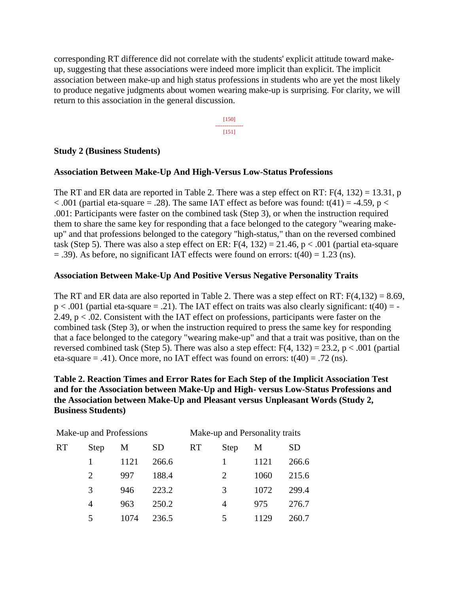corresponding RT difference did not correlate with the students' explicit attitude toward makeup, suggesting that these associations were indeed more implicit than explicit. The implicit association between make-up and high status professions in students who are yet the most likely to produce negative judgments about women wearing make-up is surprising. For clarity, we will return to this association in the general discussion.

> [150] --------------- [151]

#### **Study 2 (Business Students)**

#### **Association Between Make-Up And High-Versus Low-Status Professions**

The RT and ER data are reported in Table 2. There was a step effect on RT:  $F(4, 132) = 13.31$ , p  $< .001$  (partial eta-square = .28). The same IAT effect as before was found: t(41) = -4.59, p  $<$ .001: Participants were faster on the combined task (Step 3), or when the instruction required them to share the same key for responding that a face belonged to the category "wearing makeup" and that professions belonged to the category "high-status," than on the reversed combined task (Step 5). There was also a step effect on ER:  $F(4, 132) = 21.46$ ,  $p < .001$  (partial eta-square  $=$  .39). As before, no significant IAT effects were found on errors: t(40) = 1.23 (ns).

#### **Association Between Make-Up And Positive Versus Negative Personality Traits**

The RT and ER data are also reported in Table 2. There was a step effect on RT:  $F(4,132) = 8.69$ ,  $p < .001$  (partial eta-square = .21). The IAT effect on traits was also clearly significant: t(40) = -2.49, p < .02. Consistent with the IAT effect on professions, participants were faster on the combined task (Step 3), or when the instruction required to press the same key for responding that a face belonged to the category "wearing make-up" and that a trait was positive, than on the reversed combined task (Step 5). There was also a step effect:  $F(4, 132) = 23.2$ , p < .001 (partial eta-square = .41). Once more, no IAT effect was found on errors:  $t(40) = .72$  (ns).

### **Table 2. Reaction Times and Error Rates for Each Step of the Implicit Association Test and for the Association between Make-Up and High- versus Low-Status Professions and the Association between Make-Up and Pleasant versus Unpleasant Words (Study 2, Business Students)**

|           | Make-up and Professions     |      |       |    | Make-up and Personality traits |      |           |  |
|-----------|-----------------------------|------|-------|----|--------------------------------|------|-----------|--|
| <b>RT</b> | <b>Step</b>                 | M    | SD    | RT | Step                           | М    | <b>SD</b> |  |
|           |                             | 1121 | 266.6 |    |                                | 1121 | 266.6     |  |
|           | $\mathcal{D}_{\mathcal{L}}$ | 997  | 188.4 |    | $\mathcal{D}_{\mathcal{L}}$    | 1060 | 215.6     |  |
|           | 3                           | 946  | 223.2 |    | 3                              | 1072 | 299.4     |  |
|           | 4                           | 963  | 250.2 |    | 4                              | 975  | 276.7     |  |
|           |                             | 1074 | 236.5 |    | 5                              | 1129 | 260.7     |  |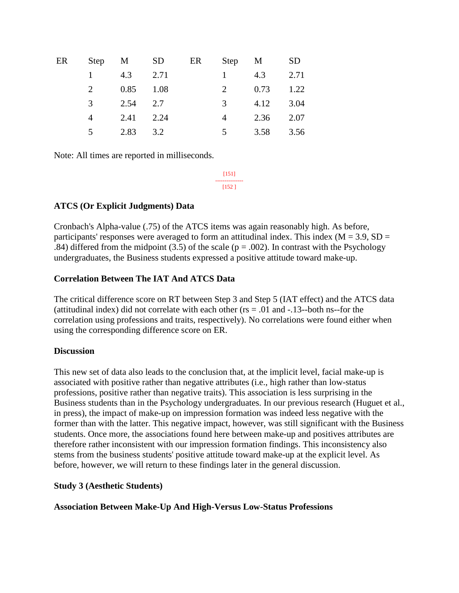| ER |                |            | Step M SD ER Step M |                |           | <b>SD</b> |
|----|----------------|------------|---------------------|----------------|-----------|-----------|
|    | $1 \quad$      | 4.3        | 2.71                | $\mathbf{1}$   | 4.3       | 2.71      |
|    | 2              | 0.85 1.08  |                     | 2              | 0.73      | 1.22      |
|    | $\overline{3}$ | $2.54$ 2.7 |                     | $\mathcal{E}$  | 4.12 3.04 |           |
|    | 4              | 2.41 2.24  |                     | 4              | 2.36 2.07 |           |
|    | 5              | 2.83 3.2   |                     | 5 <sup>7</sup> | 3.58 3.56 |           |

Note: All times are reported in milliseconds.

[151] --------------- [152 ]

### **ATCS (Or Explicit Judgments) Data**

Cronbach's Alpha-value (.75) of the ATCS items was again reasonably high. As before, participants' responses were averaged to form an attitudinal index. This index ( $M = 3.9$ ,  $SD =$ .84) differed from the midpoint (3.5) of the scale ( $p = .002$ ). In contrast with the Psychology undergraduates, the Business students expressed a positive attitude toward make-up.

### **Correlation Between The IAT And ATCS Data**

The critical difference score on RT between Step 3 and Step 5 (IAT effect) and the ATCS data (attitudinal index) did not correlate with each other ( $rs = .01$  and  $-.13$ -both ns--for the correlation using professions and traits, respectively). No correlations were found either when using the corresponding difference score on ER.

### **Discussion**

This new set of data also leads to the conclusion that, at the implicit level, facial make-up is associated with positive rather than negative attributes (i.e., high rather than low-status professions, positive rather than negative traits). This association is less surprising in the Business students than in the Psychology undergraduates. In our previous research (Huguet et al., in press), the impact of make-up on impression formation was indeed less negative with the former than with the latter. This negative impact, however, was still significant with the Business students. Once more, the associations found here between make-up and positives attributes are therefore rather inconsistent with our impression formation findings. This inconsistency also stems from the business students' positive attitude toward make-up at the explicit level. As before, however, we will return to these findings later in the general discussion.

### **Study 3 (Aesthetic Students)**

### **Association Between Make-Up And High-Versus Low-Status Professions**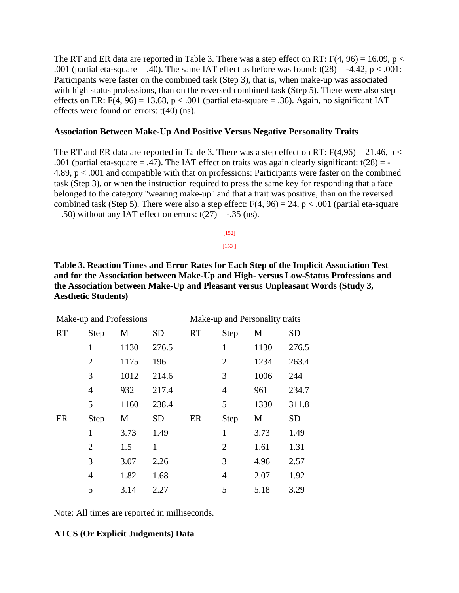The RT and ER data are reported in Table 3. There was a step effect on RT:  $F(4, 96) = 16.09$ , p < .001 (partial eta-square = .40). The same IAT effect as before was found:  $t(28) = -4.42$ ,  $p < .001$ : Participants were faster on the combined task (Step 3), that is, when make-up was associated with high status professions, than on the reversed combined task (Step 5). There were also step effects on ER:  $F(4, 96) = 13.68$ ,  $p < .001$  (partial eta-square = .36). Again, no significant IAT effects were found on errors: t(40) (ns).

#### **Association Between Make-Up And Positive Versus Negative Personality Traits**

The RT and ER data are reported in Table 3. There was a step effect on RT:  $F(4,96) = 21.46$ , p < .001 (partial eta-square  $= .47$ ). The IAT effect on traits was again clearly significant: t(28) = -4.89, p < .001 and compatible with that on professions: Participants were faster on the combined task (Step 3), or when the instruction required to press the same key for responding that a face belonged to the category "wearing make-up" and that a trait was positive, than on the reversed combined task (Step 5). There were also a step effect:  $F(4, 96) = 24$ ,  $p < .001$  (partial eta-square  $= .50$ ) without any IAT effect on errors: t(27)  $= -.35$  (ns).

> [152] --------------- [153 ]

**Table 3. Reaction Times and Error Rates for Each Step of the Implicit Association Test and for the Association between Make-Up and High- versus Low-Status Professions and the Association between Make-Up and Pleasant versus Unpleasant Words (Study 3, Aesthetic Students)**

|           | Make-up and Professions |      |           | Make-up and Personality traits |                |      |           |
|-----------|-------------------------|------|-----------|--------------------------------|----------------|------|-----------|
| <b>RT</b> | Step                    | M    | <b>SD</b> | <b>RT</b>                      | <b>Step</b>    | M    | <b>SD</b> |
|           | 1                       | 1130 | 276.5     |                                | 1              | 1130 | 276.5     |
|           | $\overline{2}$          | 1175 | 196       |                                | $\overline{2}$ | 1234 | 263.4     |
|           | 3                       | 1012 | 214.6     |                                | 3              | 1006 | 244       |
|           | $\overline{4}$          | 932  | 217.4     |                                | 4              | 961  | 234.7     |
|           | 5                       | 1160 | 238.4     |                                | 5              | 1330 | 311.8     |
| ER        | Step                    | M    | <b>SD</b> | ER                             | Step           | М    | <b>SD</b> |
|           | $\mathbf{1}$            | 3.73 | 1.49      |                                | $\mathbf{1}$   | 3.73 | 1.49      |
|           | $\overline{2}$          | 1.5  | 1         |                                | $\overline{2}$ | 1.61 | 1.31      |
|           | 3                       | 3.07 | 2.26      |                                | 3              | 4.96 | 2.57      |
|           | $\overline{4}$          | 1.82 | 1.68      |                                | $\overline{4}$ | 2.07 | 1.92      |
|           | 5                       | 3.14 | 2.27      |                                | 5              | 5.18 | 3.29      |

Note: All times are reported in milliseconds.

### **ATCS (Or Explicit Judgments) Data**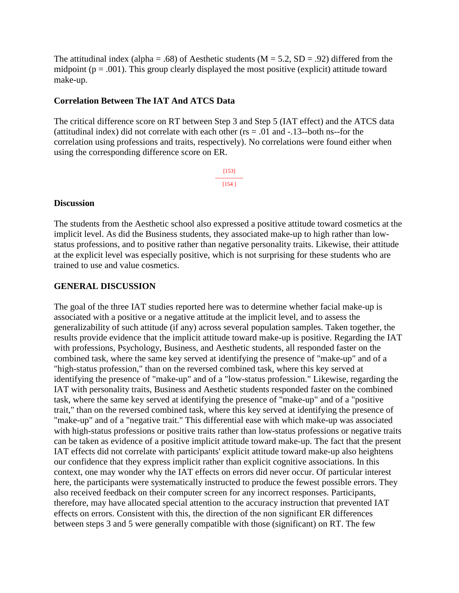The attitudinal index (alpha = .68) of Aesthetic students ( $M = 5.2$ ,  $SD = .92$ ) differed from the midpoint ( $p = .001$ ). This group clearly displayed the most positive (explicit) attitude toward make-up.

#### **Correlation Between The IAT And ATCS Data**

The critical difference score on RT between Step 3 and Step 5 (IAT effect) and the ATCS data (attitudinal index) did not correlate with each other ( $rs = .01$  and  $-.13$ -both ns--for the correlation using professions and traits, respectively). No correlations were found either when using the corresponding difference score on ER.

> [153] --------------- [154 ]

#### **Discussion**

The students from the Aesthetic school also expressed a positive attitude toward cosmetics at the implicit level. As did the Business students, they associated make-up to high rather than lowstatus professions, and to positive rather than negative personality traits. Likewise, their attitude at the explicit level was especially positive, which is not surprising for these students who are trained to use and value cosmetics.

#### **GENERAL DISCUSSION**

The goal of the three IAT studies reported here was to determine whether facial make-up is associated with a positive or a negative attitude at the implicit level, and to assess the generalizability of such attitude (if any) across several population samples. Taken together, the results provide evidence that the implicit attitude toward make-up is positive. Regarding the IAT with professions, Psychology, Business, and Aesthetic students, all responded faster on the combined task, where the same key served at identifying the presence of "make-up" and of a "high-status profession," than on the reversed combined task, where this key served at identifying the presence of "make-up" and of a "low-status profession." Likewise, regarding the IAT with personality traits, Business and Aesthetic students responded faster on the combined task, where the same key served at identifying the presence of "make-up" and of a "positive trait," than on the reversed combined task, where this key served at identifying the presence of "make-up" and of a "negative trait." This differential ease with which make-up was associated with high-status professions or positive traits rather than low-status professions or negative traits can be taken as evidence of a positive implicit attitude toward make-up. The fact that the present IAT effects did not correlate with participants' explicit attitude toward make-up also heightens our confidence that they express implicit rather than explicit cognitive associations. In this context, one may wonder why the IAT effects on errors did never occur. Of particular interest here, the participants were systematically instructed to produce the fewest possible errors. They also received feedback on their computer screen for any incorrect responses. Participants, therefore, may have allocated special attention to the accuracy instruction that prevented IAT effects on errors. Consistent with this, the direction of the non significant ER differences between steps 3 and 5 were generally compatible with those (significant) on RT. The few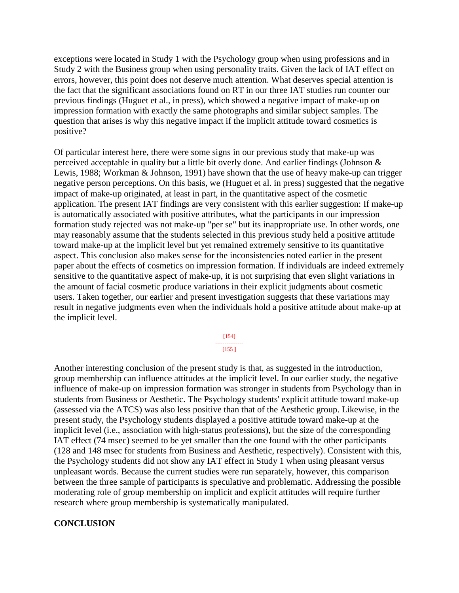exceptions were located in Study 1 with the Psychology group when using professions and in Study 2 with the Business group when using personality traits. Given the lack of IAT effect on errors, however, this point does not deserve much attention. What deserves special attention is the fact that the significant associations found on RT in our three IAT studies run counter our previous findings (Huguet et al., in press), which showed a negative impact of make-up on impression formation with exactly the same photographs and similar subject samples. The question that arises is why this negative impact if the implicit attitude toward cosmetics is positive?

Of particular interest here, there were some signs in our previous study that make-up was perceived acceptable in quality but a little bit overly done. And earlier findings (Johnson & Lewis, 1988; Workman & Johnson, 1991) have shown that the use of heavy make-up can trigger negative person perceptions. On this basis, we (Huguet et al. in press) suggested that the negative impact of make-up originated, at least in part, in the quantitative aspect of the cosmetic application. The present IAT findings are very consistent with this earlier suggestion: If make-up is automatically associated with positive attributes, what the participants in our impression formation study rejected was not make-up "per se" but its inappropriate use. In other words, one may reasonably assume that the students selected in this previous study held a positive attitude toward make-up at the implicit level but yet remained extremely sensitive to its quantitative aspect. This conclusion also makes sense for the inconsistencies noted earlier in the present paper about the effects of cosmetics on impression formation. If individuals are indeed extremely sensitive to the quantitative aspect of make-up, it is not surprising that even slight variations in the amount of facial cosmetic produce variations in their explicit judgments about cosmetic users. Taken together, our earlier and present investigation suggests that these variations may result in negative judgments even when the individuals hold a positive attitude about make-up at the implicit level.

> [154] --------------- [155 ]

Another interesting conclusion of the present study is that, as suggested in the introduction, group membership can influence attitudes at the implicit level. In our earlier study, the negative influence of make-up on impression formation was stronger in students from Psychology than in students from Business or Aesthetic. The Psychology students' explicit attitude toward make-up (assessed via the ATCS) was also less positive than that of the Aesthetic group. Likewise, in the present study, the Psychology students displayed a positive attitude toward make-up at the implicit level (i.e., association with high-status professions), but the size of the corresponding IAT effect (74 msec) seemed to be yet smaller than the one found with the other participants (128 and 148 msec for students from Business and Aesthetic, respectively). Consistent with this, the Psychology students did not show any IAT effect in Study 1 when using pleasant versus unpleasant words. Because the current studies were run separately, however, this comparison between the three sample of participants is speculative and problematic. Addressing the possible moderating role of group membership on implicit and explicit attitudes will require further research where group membership is systematically manipulated.

#### **CONCLUSION**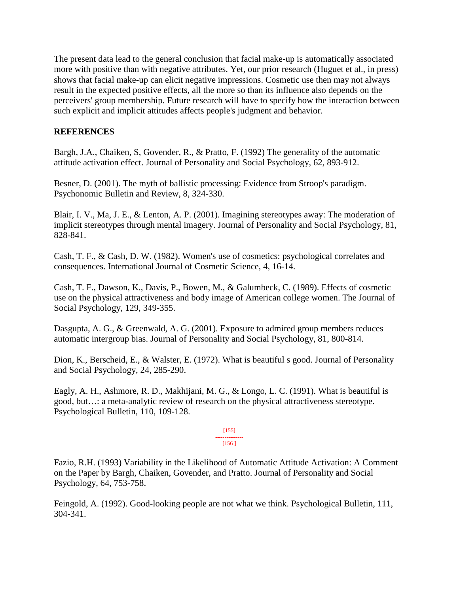The present data lead to the general conclusion that facial make-up is automatically associated more with positive than with negative attributes. Yet, our prior research (Huguet et al., in press) shows that facial make-up can elicit negative impressions. Cosmetic use then may not always result in the expected positive effects, all the more so than its influence also depends on the perceivers' group membership. Future research will have to specify how the interaction between such explicit and implicit attitudes affects people's judgment and behavior.

### **REFERENCES**

Bargh, J.A., Chaiken, S, Govender, R., & Pratto, F. (1992) The generality of the automatic attitude activation effect. Journal of Personality and Social Psychology, 62, 893-912.

Besner, D. (2001). The myth of ballistic processing: Evidence from Stroop's paradigm. Psychonomic Bulletin and Review, 8, 324-330.

Blair, I. V., Ma, J. E., & Lenton, A. P. (2001). Imagining stereotypes away: The moderation of implicit stereotypes through mental imagery. Journal of Personality and Social Psychology, 81, 828-841.

Cash, T. F., & Cash, D. W. (1982). Women's use of cosmetics: psychological correlates and consequences. International Journal of Cosmetic Science, 4, 16-14.

Cash, T. F., Dawson, K., Davis, P., Bowen, M., & Galumbeck, C. (1989). Effects of cosmetic use on the physical attractiveness and body image of American college women. The Journal of Social Psychology, 129, 349-355.

Dasgupta, A. G., & Greenwald, A. G. (2001). Exposure to admired group members reduces automatic intergroup bias. Journal of Personality and Social Psychology, 81, 800-814.

Dion, K., Berscheid, E., & Walster, E. (1972). What is beautiful s good. Journal of Personality and Social Psychology, 24, 285-290.

Eagly, A. H., Ashmore, R. D., Makhijani, M. G., & Longo, L. C. (1991). What is beautiful is good, but…: a meta-analytic review of research on the physical attractiveness stereotype. Psychological Bulletin, 110, 109-128.

#### $[155]$ --------------- [156 ]

Fazio, R.H. (1993) Variability in the Likelihood of Automatic Attitude Activation: A Comment on the Paper by Bargh, Chaiken, Govender, and Pratto. Journal of Personality and Social Psychology, 64, 753-758.

Feingold, A. (1992). Good-looking people are not what we think. Psychological Bulletin, 111, 304-341.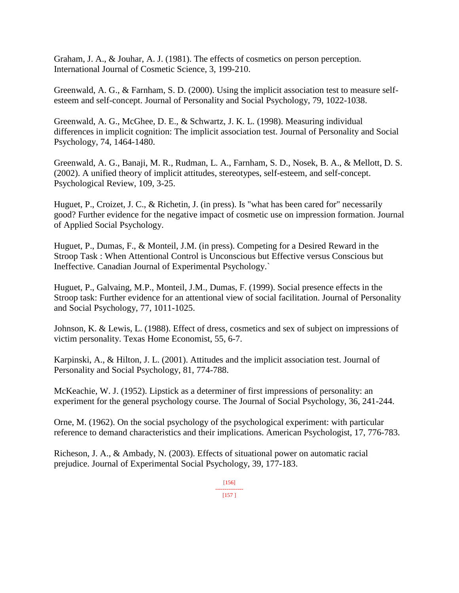Graham, J. A., & Jouhar, A. J. (1981). The effects of cosmetics on person perception. International Journal of Cosmetic Science, 3, 199-210.

Greenwald, A. G., & Farnham, S. D. (2000). Using the implicit association test to measure selfesteem and self-concept. Journal of Personality and Social Psychology, 79, 1022-1038.

Greenwald, A. G., McGhee, D. E., & Schwartz, J. K. L. (1998). Measuring individual differences in implicit cognition: The implicit association test. Journal of Personality and Social Psychology, 74, 1464-1480.

Greenwald, A. G., Banaji, M. R., Rudman, L. A., Farnham, S. D., Nosek, B. A., & Mellott, D. S. (2002). A unified theory of implicit attitudes, stereotypes, self-esteem, and self-concept. Psychological Review, 109, 3-25.

Huguet, P., Croizet, J. C., & Richetin, J. (in press). Is "what has been cared for" necessarily good? Further evidence for the negative impact of cosmetic use on impression formation. Journal of Applied Social Psychology.

Huguet, P., Dumas, F., & Monteil, J.M. (in press). Competing for a Desired Reward in the Stroop Task : When Attentional Control is Unconscious but Effective versus Conscious but Ineffective. Canadian Journal of Experimental Psychology.`

Huguet, P., Galvaing, M.P., Monteil, J.M., Dumas, F. (1999). Social presence effects in the Stroop task: Further evidence for an attentional view of social facilitation. Journal of Personality and Social Psychology, 77, 1011-1025.

Johnson, K. & Lewis, L. (1988). Effect of dress, cosmetics and sex of subject on impressions of victim personality. Texas Home Economist, 55, 6-7.

Karpinski, A., & Hilton, J. L. (2001). Attitudes and the implicit association test. Journal of Personality and Social Psychology, 81, 774-788.

McKeachie, W. J. (1952). Lipstick as a determiner of first impressions of personality: an experiment for the general psychology course. The Journal of Social Psychology, 36, 241-244.

Orne, M. (1962). On the social psychology of the psychological experiment: with particular reference to demand characteristics and their implications. American Psychologist, 17, 776-783.

Richeson, J. A., & Ambady, N. (2003). Effects of situational power on automatic racial prejudice. Journal of Experimental Social Psychology, 39, 177-183.

> [156] --------------- [157 ]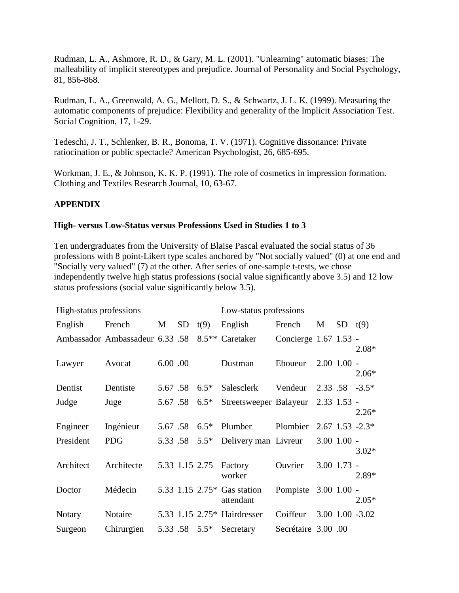Rudman, L. A., Ashmore, R. D., & Gary, M. L. (2001). "Unlearning" automatic biases: The malleability of implicit stereotypes and prejudice. Journal of Personality and Social Psychology, 81, 856-868.

Rudman, L. A., Greenwald, A. G., Mellott, D. S., & Schwartz, J. L. K. (1999). Measuring the automatic components of prejudice: Flexibility and generality of the Implicit Association Test. Social Cognition, 17, 1-29.

Tedeschi, J. T., Schlenker, B. R., Bonoma, T. V. (1971). Cognitive dissonance: Private ratiocination or public spectacle? American Psychologist, 26, 685-695.

Workman, J. E., & Johnson, K. K. P. (1991). The role of cosmetics in impression formation. Clothing and Textiles Research Journal, 10, 63-67.

### **APPENDIX**

#### **High- versus Low-Status versus Professions Used in Studies 1 to 3**

Ten undergraduates from the University of Blaise Pascal evaluated the social status of 36 professions with 8 point-Likert type scales anchored by "Not socially valued" (0) at one end and "Socially very valued" (7) at the other. After series of one-sample t-tests, we chose independently twelve high status professions (social value significantly above 3.5) and 12 low status professions (social value significantly below 3.5).

| High-status professions |                                 |         |                 |               | Low-status professions                   |                       |               |                 |                       |
|-------------------------|---------------------------------|---------|-----------------|---------------|------------------------------------------|-----------------------|---------------|-----------------|-----------------------|
| English                 | French                          | M       | SD <sub>1</sub> | t(9)          | English                                  | French                | M             | $SD$ $t(9)$     |                       |
|                         | Ambassador Ambassadeur 6.33 .58 |         |                 |               | 8.5 <sup>**</sup> Caretaker              | Concierge 1.67 1.53 - |               |                 | $2.08*$               |
| Lawyer                  | Avocat                          | 6.00.00 |                 |               | Dustman                                  | Eboueur               |               | $2.00$ $1.00$ - | $2.06*$               |
| Dentist                 | Dentiste                        | 5.67.58 |                 | $6.5*$        | Salesclerk                               | Vendeur               | 2.33 .58      |                 | $-3.5*$               |
| Judge                   | Juge                            |         | 5.67 .58 6.5*   |               | Streetsweeper Balayeur                   |                       | $2.33$ 1.53 - |                 | $2.26*$               |
| Engineer                | Ingénieur                       |         |                 | 5.67 .58 6.5* | Plumber                                  | Plombier              |               |                 | $2.67$ 1.53 $-2.3*$   |
| President               | <b>PDG</b>                      |         |                 | 5.33 .58 5.5* | Delivery man Livreur                     |                       |               | $3.00$ $1.00$ - | $3.02*$               |
| Architect               | Architecte                      |         | 5.33 1.15 2.75  |               | Factory<br>worker                        | Ouvrier               |               | $3.00$ $1.73$ - | 2.89*                 |
| Doctor                  | Médecin                         |         |                 |               | 5.33 1.15 2.75* Gas station<br>attendant | Pompiste 3.00 1.00 -  |               |                 | $2.05*$               |
| <b>Notary</b>           | Notaire                         |         |                 |               | 5.33 1.15 2.75* Hairdresser              | Coiffeur              |               |                 | $3.00$ $1.00$ $-3.02$ |
| Surgeon                 | Chirurgien                      |         |                 | 5.33 .58 5.5* | Secretary                                | Secrétaire 3.00 .00   |               |                 |                       |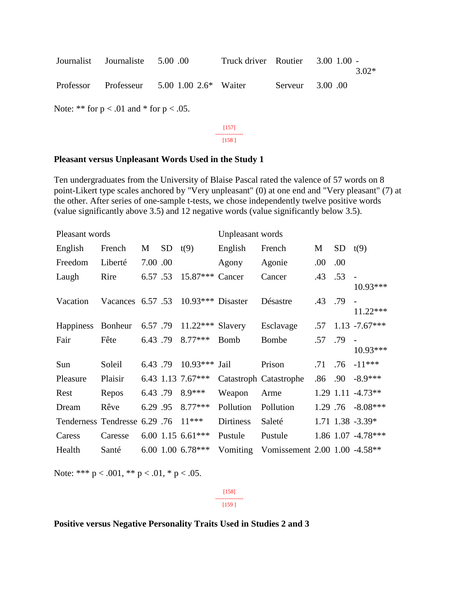| Journalist Journaliste 5.00 00 |                                            | Truck driver Routier 3.00 1.00 - |                  | $3.02*$ |
|--------------------------------|--------------------------------------------|----------------------------------|------------------|---------|
|                                | Professor Professeur 5.00 1.00 2.6* Waiter |                                  | Serveur 3.00 .00 |         |

Note: \*\* for  $p < .01$  and \* for  $p < .05$ .

[157] --------------- [158 ]

#### **Pleasant versus Unpleasant Words Used in the Study 1**

Ten undergraduates from the University of Blaise Pascal rated the valence of 57 words on 8 point-Likert type scales anchored by "Very unpleasant" (0) at one end and "Very pleasant" (7) at the other. After series of one-sample t-tests, we chose independently twelve positive words (value significantly above 3.5) and 12 negative words (value significantly below 3.5).

| Pleasant words                             |                                             |          |         |                   | Unpleasant words |                               |      |         |                            |
|--------------------------------------------|---------------------------------------------|----------|---------|-------------------|------------------|-------------------------------|------|---------|----------------------------|
| English                                    | French                                      | M        | SD t(9) |                   | English          | French                        | M    | SD      | t(9)                       |
| Freedom                                    | Liberté                                     | 7.00 .00 |         |                   | Agony            | Agonie                        | .00. | .00.    |                            |
| Laugh                                      | Rire                                        | 6.57 .53 |         | $15.87***$        | Cancer           | Cancer                        | .43  | .53     | $10.93***$                 |
| Vacation                                   | Vacances $6.57 \cdot .53$ 10.93*** Disaster |          |         |                   |                  | Désastre                      | .43  | .79     | $11.22***$                 |
| Happiness Bonheur 6.57.79 11.22*** Slavery |                                             |          |         |                   |                  | Esclavage                     | .57  |         | $1.13 - 7.67***$           |
| Fair                                       | Fête                                        | 6.43.79  |         | $8.77***$         | <b>Bomb</b>      | <b>Bombe</b>                  | .57  | .79     | $\overline{a}$<br>10.93*** |
| Sun                                        | Soleil                                      | 6.43.79  |         | $10.93***$        | Jail             | Prison                        |      | .71 .76 | $-11***$                   |
| Pleasure                                   | Plaisir                                     |          |         | 6.43 1.13 7.67*** |                  | Catastroph Catastrophe        | .86  | .90     | $-8.9***$                  |
| Rest                                       | Repos                                       |          |         | 6.43 .79 8.9***   | Weapon           | Arme                          |      |         | 1.29 1.11 -4.73**          |
| Dream                                      | Rêve                                        | 6.29.95  |         | $8.77***$         | Pollution        | Pollution                     |      |         | $1.29$ .76 $-8.08***$      |
| Tenderness Tendresse 6.29 .76              |                                             |          |         | $11***$           | <b>Dirtiness</b> | Saleté                        |      |         | 1.71 1.38 -3.39*           |
| Caress                                     | Caresse                                     |          |         | 6.00 1.15 6.61*** | Pustule          | Pustule                       |      |         | 1.86 1.07 -4.78***         |
| Health                                     | Santé                                       |          |         | $6.001.006.78***$ | Vomiting         | Vomissement 2.00 1.00 -4.58** |      |         |                            |

Note: \*\*\*  $p < .001$ , \*\*  $p < .01$ , \*  $p < .05$ .

[158] ---------------

[159 ]

#### **Positive versus Negative Personality Traits Used in Studies 2 and 3**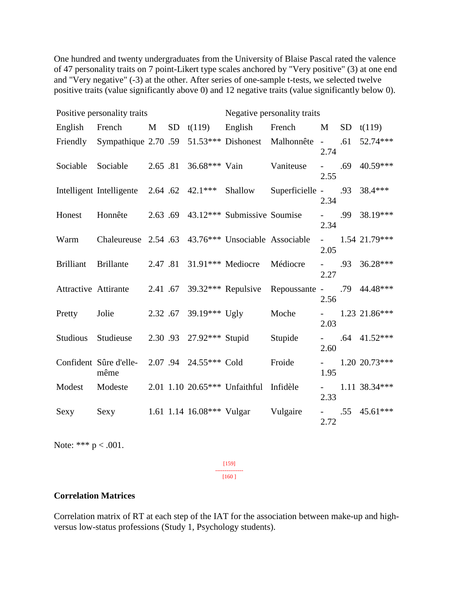One hundred and twenty undergraduates from the University of Blaise Pascal rated the valence of 47 personality traits on 7 point-Likert type scales anchored by "Very positive" (3) at one end and "Very negative" (-3) at the other. After series of one-sample t-tests, we selected twelve positive traits (value significantly above 0) and 12 negative traits (value significantly below 0).

|                  | Positive personality traits                                                 |  | Negative personality traits |                                            |                                |                             |     |                   |
|------------------|-----------------------------------------------------------------------------|--|-----------------------------|--------------------------------------------|--------------------------------|-----------------------------|-----|-------------------|
|                  | English French                                                              |  |                             |                                            | $M$ SD $t(119)$ English French | M                           |     | $SD$ t(119)       |
|                  | Friendly Sympathique 2.70 .59 51.53*** Dishonest Malhonnête -               |  |                             |                                            |                                | 2.74                        | .61 | 52.74***          |
|                  | Sociable Sociable                                                           |  | $2.65$ .81 36.68*** Vain    |                                            | Vaniteuse                      | 2.55                        |     | $-$ .69 40.59***  |
|                  | Intelligent Intelligente 2.64 .62 42.1***                                   |  |                             | Shallow                                    | Superficielle - $.93$ 38.4***  | 2.34                        |     |                   |
| Honest           | Honnête $2.63.69$ 43.12*** Submissive Soumise                               |  |                             |                                            |                                | 2.34                        |     | $-$ .99 38.19***  |
| Warm             | Chaleureuse 2.54 .63 43.76*** Unsociable Associable                         |  |                             |                                            |                                | 2.05                        |     | $- 1.54 21.79***$ |
| <b>Brilliant</b> | <b>Brillante</b>                                                            |  |                             | 2.47 .81 31.91*** Mediocre Médiocre        |                                | 2.27                        |     | $-$ .93 36.28***  |
|                  | Attractive Attirante 2.41 .67 39.32*** Repulsive Repoussante - .79 44.48*** |  |                             |                                            |                                | 2.56                        |     |                   |
|                  | Pretty Jolie                                                                |  |                             | $2.32 \cdot 67$ 39.19*** Ugly              | Moche                          | 2.03                        |     | $- 1.23 21.86***$ |
|                  | Studious Studieuse                                                          |  |                             | 2.30 .93 27.92*** Stupid                   | Stupide                        | 2.60                        |     | $-$ .64 41.52***  |
|                  | Confident Sûre d'elle-<br>même                                              |  | 2.07 .94 24.55*** Cold      |                                            | Froide                         | $\omega_{\rm{max}}$<br>1.95 |     | 1.20 20.73***     |
| Modest           | Modeste                                                                     |  |                             | $2.01$ 1.10 $20.65***$ Unfaithful Infidèle |                                | $\omega_{\rm{max}}$<br>2.33 |     | 1.11 38.34***     |
| Sexy             | Sexy 1.61 1.14 16.08*** Vulgar Vulgaire                                     |  |                             |                                            |                                | 2.72                        |     | $-$ .55 45.61***  |

Note: \*\*\*  $p < .001$ .

[159] ---------------

[160 ]

#### **Correlation Matrices**

Correlation matrix of RT at each step of the IAT for the association between make-up and highversus low-status professions (Study 1, Psychology students).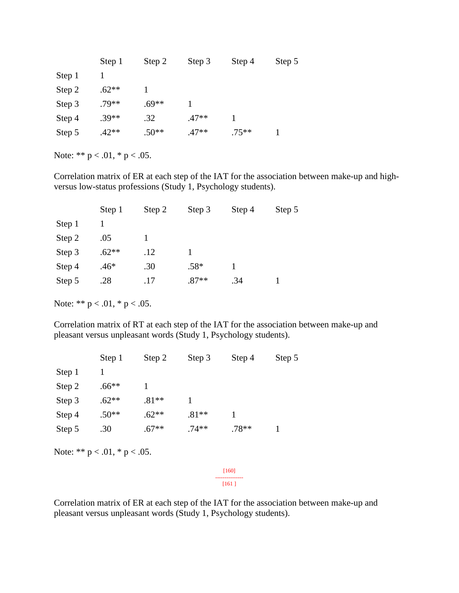|        | Step 1  | Step 2  | Step 3  | Step 4   | Step 5 |
|--------|---------|---------|---------|----------|--------|
| Step 1 |         |         |         |          |        |
| Step 2 | $.62**$ |         |         |          |        |
| Step 3 | $.79**$ | $.69**$ |         |          |        |
| Step 4 | $.39**$ | .32     | $.47**$ |          |        |
| Step 5 | $.42**$ | $.50**$ | $.47**$ | $.75***$ |        |

Correlation matrix of ER at each step of the IAT for the association between make-up and highversus low-status professions (Study 1, Psychology students).

| Step 1  | Step 2 | Step 3  | Step 4 | Step 5 |
|---------|--------|---------|--------|--------|
|         |        |         |        |        |
| .05     |        |         |        |        |
| $.62**$ | .12    |         |        |        |
| $.46*$  | .30    | $.58*$  |        |        |
| .28     | .17    | $.87**$ | .34    |        |
|         |        |         |        |        |

Note: \*\*  $p < .01$ , \*  $p < .05$ .

Correlation matrix of RT at each step of the IAT for the association between make-up and pleasant versus unpleasant words (Study 1, Psychology students).

|        | Step 1  | Step 2  | Step 3  | Step 4  | Step 5 |
|--------|---------|---------|---------|---------|--------|
| Step 1 |         |         |         |         |        |
| Step 2 | $.66**$ |         |         |         |        |
| Step 3 | $.62**$ | $.81**$ |         |         |        |
| Step 4 | $.50**$ | $.62**$ | $.81**$ |         |        |
| Step 5 | .30     | $.67**$ | $.74**$ | $.78**$ |        |

Note: \*\*  $p < .01$ , \*  $p < .05$ .

[160] --------------- [161 ]

Correlation matrix of ER at each step of the IAT for the association between make-up and pleasant versus unpleasant words (Study 1, Psychology students).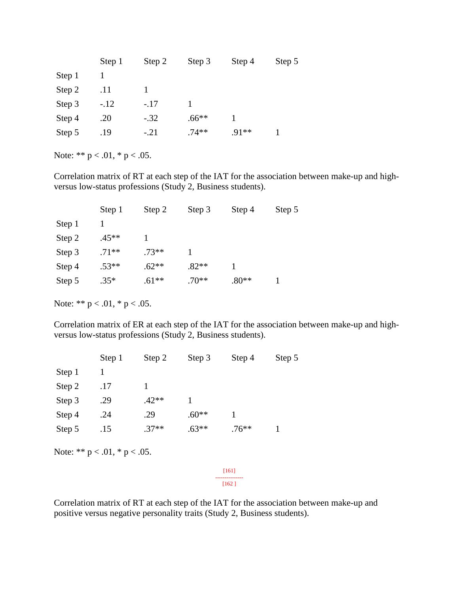|        | Step 1 | Step 2 | Step 3  | Step 4  | Step 5 |
|--------|--------|--------|---------|---------|--------|
| Step 1 |        |        |         |         |        |
| Step 2 | .11    |        |         |         |        |
| Step 3 | $-.12$ | $-.17$ |         |         |        |
| Step 4 | .20    | $-.32$ | $.66**$ |         |        |
| Step 5 | .19    | $-.21$ | $.74**$ | $.91**$ |        |

Correlation matrix of RT at each step of the IAT for the association between make-up and highversus low-status professions (Study 2, Business students).

|        | Step 1  | Step 2  | Step 3  | Step 4  | Step 5 |
|--------|---------|---------|---------|---------|--------|
| Step 1 |         |         |         |         |        |
| Step 2 | $.45**$ |         |         |         |        |
| Step 3 | $.71**$ | $.73**$ |         |         |        |
| Step 4 | $.53**$ | $.62**$ | $.82**$ |         |        |
| Step 5 | $.35*$  | $.61**$ | $.70**$ | $.80**$ |        |

Note: \*\*  $p < .01$ , \*  $p < .05$ .

Correlation matrix of ER at each step of the IAT for the association between make-up and highversus low-status professions (Study 2, Business students).

|        | Step 1 | Step 2  | Step 3  | Step 4  | Step 5 |
|--------|--------|---------|---------|---------|--------|
| Step 1 |        |         |         |         |        |
| Step 2 | .17    |         |         |         |        |
| Step 3 | .29    | $.42**$ |         |         |        |
| Step 4 | .24    | .29     | $.60**$ |         |        |
| Step 5 | .15    | $.37**$ | $.63**$ | $.76**$ |        |

Note: \*\*  $p < .01$ , \*  $p < .05$ .

[161] --------------- [162 ]

Correlation matrix of RT at each step of the IAT for the association between make-up and positive versus negative personality traits (Study 2, Business students).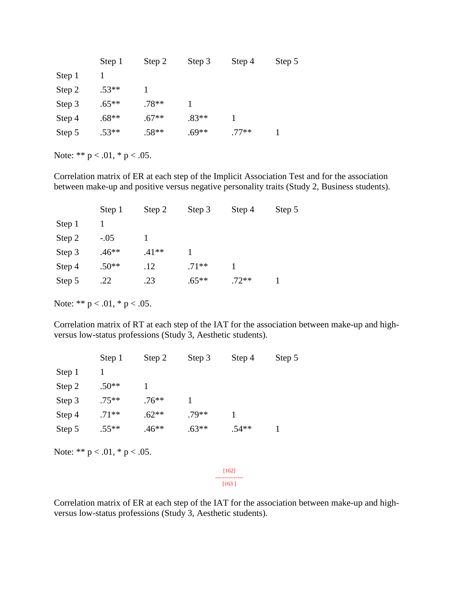|        | Step 1  | Step 2  | Step 3  | Step 4  | Step 5 |
|--------|---------|---------|---------|---------|--------|
| Step 1 |         |         |         |         |        |
| Step 2 | $.53**$ |         |         |         |        |
| Step 3 | $.65**$ | $.78**$ |         |         |        |
| Step 4 | $.68**$ | $.67**$ | $.83**$ |         |        |
| Step 5 | $.53**$ | $.58**$ | $.69**$ | $.77**$ |        |

Correlation matrix of ER at each step of the Implicit Association Test and for the association between make-up and positive versus negative personality traits (Study 2, Business students).

|        | Step 1  | Step 2  | Step 3  | Step 4  | Step 5 |
|--------|---------|---------|---------|---------|--------|
| Step 1 |         |         |         |         |        |
| Step 2 | $-.05$  |         |         |         |        |
| Step 3 | $.46**$ | $.41**$ |         |         |        |
| Step 4 | $.50**$ | .12     | $.71**$ |         |        |
| Step 5 | .22     | .23     | $.65**$ | $.72**$ |        |
|        |         |         |         |         |        |

Note: \*\*  $p < .01$ , \*  $p < .05$ .

Correlation matrix of RT at each step of the IAT for the association between make-up and highversus low-status professions (Study 3, Aesthetic students).

|        | Step 1  | Step 2  | Step 3  | Step 4  | Step 5 |
|--------|---------|---------|---------|---------|--------|
| Step 1 |         |         |         |         |        |
| Step 2 | $.50**$ |         |         |         |        |
| Step 3 | $.75**$ | $.76**$ |         |         |        |
| Step 4 | $.71**$ | $.62**$ | $.79**$ |         |        |
| Step 5 | $.55**$ | $.46**$ | $.63**$ | $.54**$ |        |

Note: \*\*  $p < .01$ , \*  $p < .05$ .

[162] --------------- [163 ]

Correlation matrix of ER at each step of the IAT for the association between make-up and highversus low-status professions (Study 3, Aesthetic students).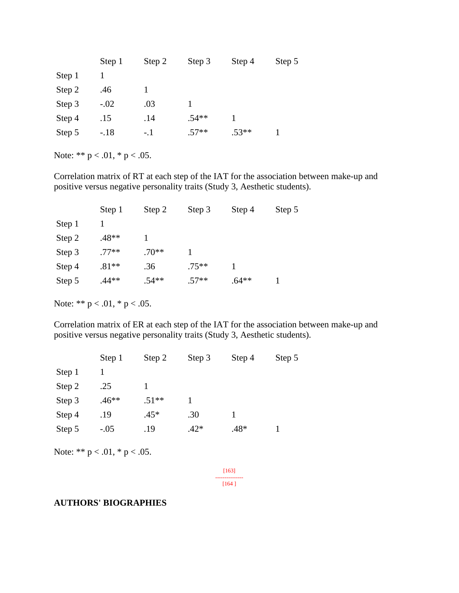|        | Step 1 | Step 2 | Step 3  | Step 4  | Step 5 |
|--------|--------|--------|---------|---------|--------|
| Step 1 |        |        |         |         |        |
| Step 2 | .46    |        |         |         |        |
| Step 3 | $-.02$ | .03    |         |         |        |
| Step 4 | .15    | .14    | $.54**$ |         |        |
| Step 5 | $-.18$ | $-.1$  | $.57**$ | $.53**$ |        |

Correlation matrix of RT at each step of the IAT for the association between make-up and positive versus negative personality traits (Study 3, Aesthetic students).

| Step 1  | Step 2  | Step 3  | Step 4  | Step 5 |
|---------|---------|---------|---------|--------|
|         |         |         |         |        |
| $.48**$ |         |         |         |        |
| $.77**$ | $.70**$ |         |         |        |
| $.81**$ | .36     | $.75**$ |         |        |
| $.44**$ | $.54**$ | $.57**$ | $.64**$ |        |
|         |         |         |         |        |

Note: \*\*  $p < .01$ , \*  $p < .05$ .

Correlation matrix of ER at each step of the IAT for the association between make-up and positive versus negative personality traits (Study 3, Aesthetic students).

|        | Step 1  | Step 2  | Step 3 | Step 4 | Step 5 |
|--------|---------|---------|--------|--------|--------|
| Step 1 |         |         |        |        |        |
| Step 2 | .25     |         |        |        |        |
| Step 3 | $.46**$ | $.51**$ |        |        |        |
| Step 4 | .19     | $.45*$  | .30    |        |        |
| Step 5 | $-.05$  | .19     | $.42*$ | $.48*$ |        |

Note: \*\*  $p < .01$ , \*  $p < .05$ .

[163] --------------- [164 ]

### **AUTHORS' BIOGRAPHIES**